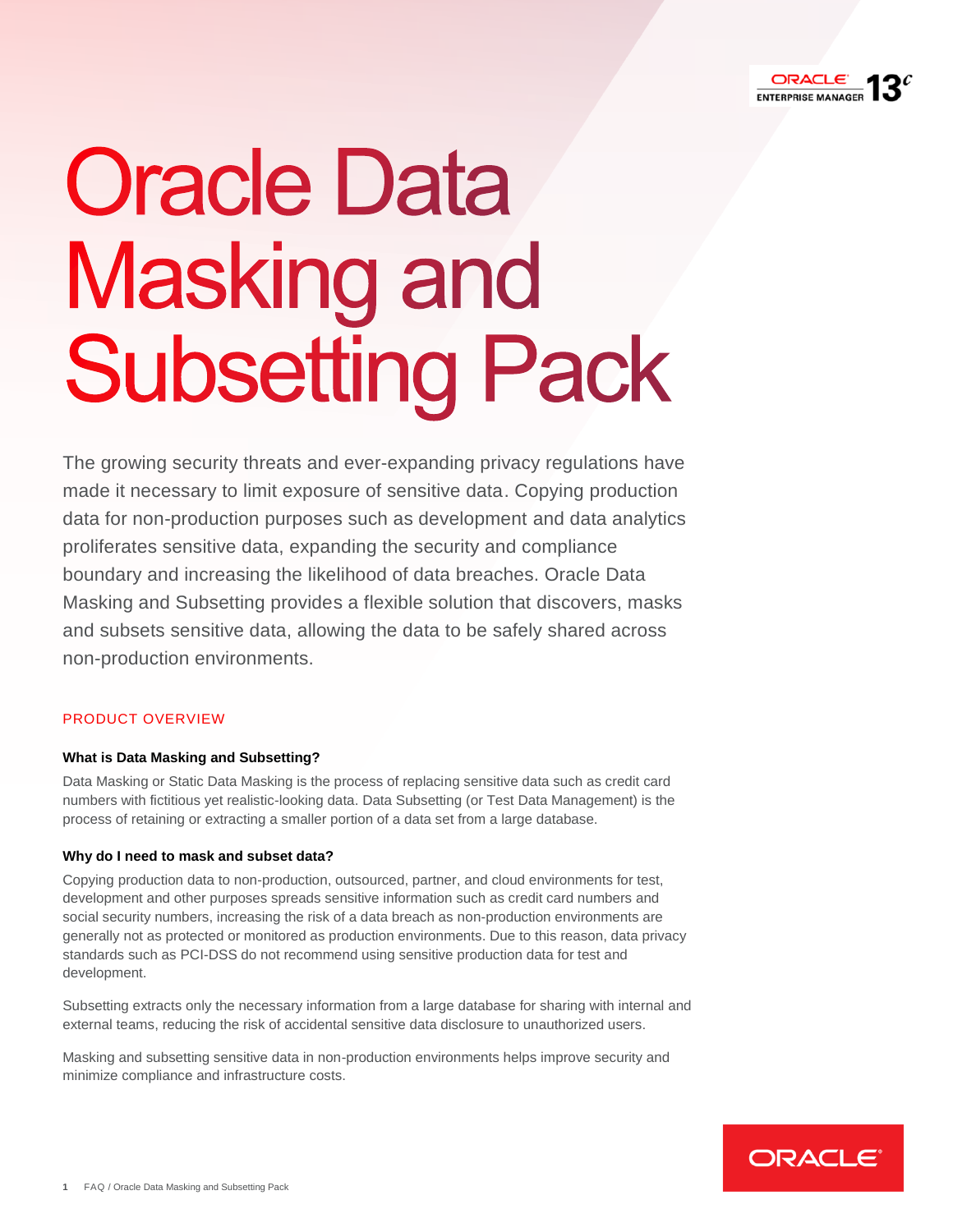

# **Oracle Data Masking and Subsetting Pack**

 The growing security threats and ever-expanding privacy regulations have made it necessary to limit exposure of sensitive data. Copying production data for non-production purposes such as development and data analytics boundary and increasing the likelihood of data breaches. Oracle Data Masking and Subsetting provides a flexible solution that discovers, masks and subsets sensitive data, allowing the data to be safely shared across proliferates sensitive data, expanding the security and compliance non-production environments.

# PRODUCT OVERVIEW

# **What is Data Masking and Subsetting?**

 Data Masking or Static Data Masking is the process of replacing sensitive data such as credit card process of retaining or extracting a smaller portion of a data set from a large database. numbers with fictitious yet realistic-looking data. Data Subsetting (or Test Data Management) is the

# **Why do I need to mask and subset data?**

 development and other purposes spreads sensitive information such as credit card numbers and social security numbers, increasing the risk of a data breach as non-production environments are standards such as PCI-DSS do not recommend using sensitive production data for test and Copying production data to non-production, outsourced, partner, and cloud environments for test, generally not as protected or monitored as production environments. Due to this reason, data privacy development.

 external teams, reducing the risk of accidental sensitive data disclosure to unauthorized users. Subsetting extracts only the necessary information from a large database for sharing with internal and

Masking and subsetting sensitive data in non-production environments helps improve security and minimize compliance and infrastructure costs.

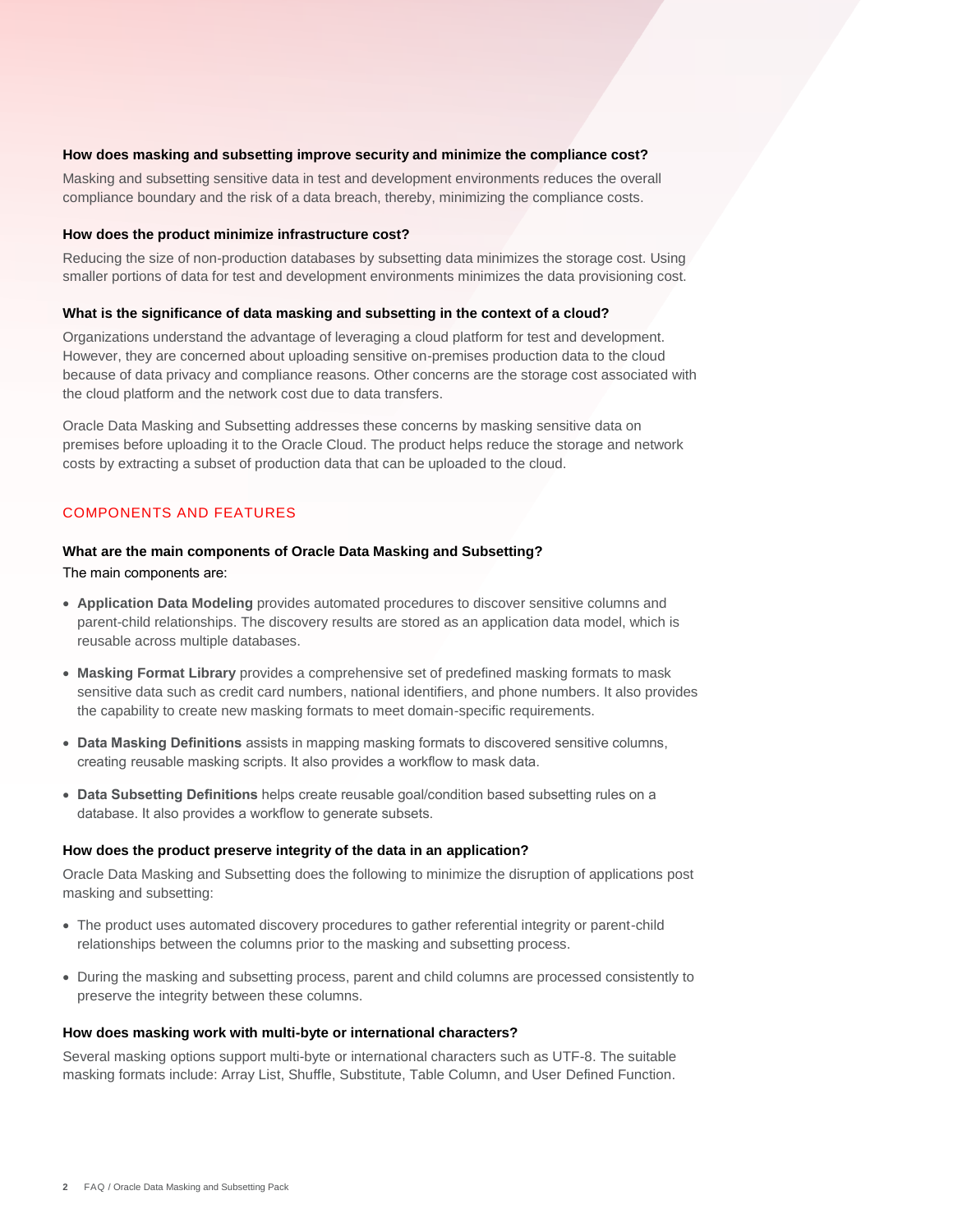Masking and subsetting sensitive data in test and development environments reduces the overall compliance boundary and the risk of a data breach, thereby, minimizing the compliance costs.

#### **How does the product minimize infrastructure cost?**

 Reducing the size of non-production databases by subsetting data minimizes the storage cost. Using smaller portions of data for test and development environments minimizes the data provisioning cost.

## **What is the significance of data masking and subsetting in the context of a cloud?**

 because of data privacy and compliance reasons. Other concerns are the storage cost associated with **How does masking and subsetting improve security and minimize the compliance ost?<br>Masking and subsetting sensitive data in test and development environments reduces the overa<br>compliance boundary and the risk of a data bre** Organizations understand the advantage of leveraging a cloud platform for test and development. However, they are concerned about uploading sensitive on-premises production data to the cloud the cloud platform and the network cost due to data transfers.

 Oracle Data Masking and Subsetting addresses these concerns by masking sensitive data on premises before uploading it to the Oracle Cloud. The product helps reduce the storage and network costs by extracting a subset of production data that can be uploaded to the cloud.

## COMPONENTS AND FEATURES

#### **What are the main components of Oracle Data Masking and Subsetting?**

The main components are:

- **Application Data Modeling** provides automated procedures to discover sensitive columns and parent-child relationships. The discovery results are stored as an application data model, which is reusable across multiple databases.
- **Masking Format Library** provides a comprehensive set of predefined masking formats to mask sensitive data such as credit card numbers, national identifiers, and phone numbers. It also provides the capability to create new masking formats to meet domain-specific requirements.
- **Data Masking Definitions** assists in mapping masking formats to discovered sensitive columns, creating reusable masking scripts. It also provides a workflow to mask data.
- **Data Subsetting Definitions** helps create reusable goal/condition based subsetting rules on a database. It also provides a workflow to generate subsets.

#### **How does the product preserve integrity of the data in an application?**

Oracle Data Masking and Subsetting does the following to minimize the disruption of applications post masking and subsetting:

- relationships between the columns prior to the masking and subsetting process. The product uses automated discovery procedures to gather referential integrity or parent-child
- preserve the integrity between these columns. During the masking and subsetting process, parent and child columns are processed consistently to

#### **How does masking work with multi-byte or international characters?**

Several masking options support multi-byte or international characters such as UTF-8. The suitable masking formats include: Array List, Shuffle, Substitute, Table Column, and User Defined Function.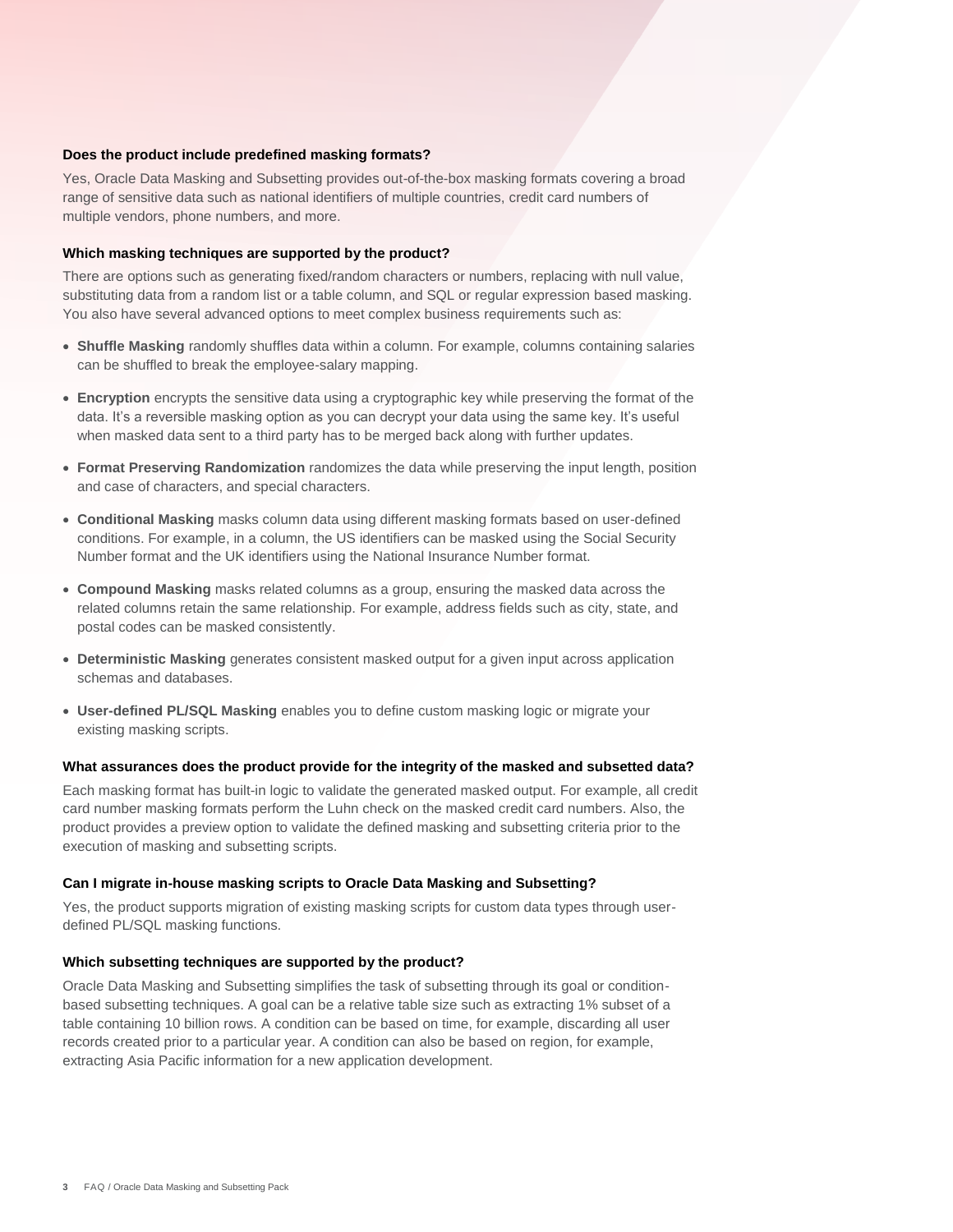range of sensitive data such as national identifiers of multiple countries, credit card numbers of Yes, Oracle Data Masking and Subsetting provides out-of-the-box masking formats covering a broad multiple vendors, phone numbers, and more.

#### **Which masking techniques are supported by the product?**

**Does the product include predefined masking formats?**<br>
Yes, Oracle Data Masking and Subsetting provides out-of-th<br>
range of sensitive data such as national identifiers of multiple<br>
multiple vendors, phone numbers, and mor There are options such as generating fixed/random characters or numbers, replacing with null value, substituting data from a random list or a table column, and SQL or regular expression based masking. You also have several advanced options to meet complex business requirements such as:

- can be shuffled to break the employee-salary mapping. **Shuffle Masking** randomly shuffles data within a column. For example, columns containing salaries
- data. It's a reversible masking option as you can decrypt your data using the same key. It's useful **Encryption** encrypts the sensitive data using a cryptographic key while preserving the format of the when masked data sent to a third party has to be merged back along with further updates.
- **Format Preserving Randomization** randomizes the data while preserving the input length, position and case of characters, and special characters.
- **Conditional Masking** masks column data using different masking formats based on user-defined conditions. For example, in a column, the US identifiers can be masked using the Social Security Number format and the UK identifiers using the National Insurance Number format.
- **Compound Masking** masks related columns as a group, ensuring the masked data across the related columns retain the same relationship. For example, address fields such as city, state, and postal codes can be masked consistently.
- **Deterministic Masking** generates consistent masked output for a given input across application schemas and databases.
- **User-defined PL/SQL Masking** enables you to define custom masking logic or migrate your existing masking scripts.

#### **What assurances does the product provide for the integrity of the masked and subsetted data?**

 card number masking formats perform the Luhn check on the masked credit card numbers. Also, the Each masking format has built-in logic to validate the generated masked output. For example, all credit product provides a preview option to validate the defined masking and subsetting criteria prior to the execution of masking and subsetting scripts.

#### **Can I migrate in-house masking scripts to Oracle Data Masking and Subsetting?**

Yes, the product supports migration of existing masking scripts for custom data types through userdefined PL/SQL masking functions.

# **Which subsetting techniques are supported by the product?**

 Oracle Data Masking and Subsetting simplifies the task of subsetting through its goal or condition- based subsetting techniques. A goal can be a relative table size such as extracting 1% subset of a table containing 10 billion rows. A condition can be based on time, for example, discarding all user records created prior to a particular year. A condition can also be based on region, for example, extracting Asia Pacific information for a new application development.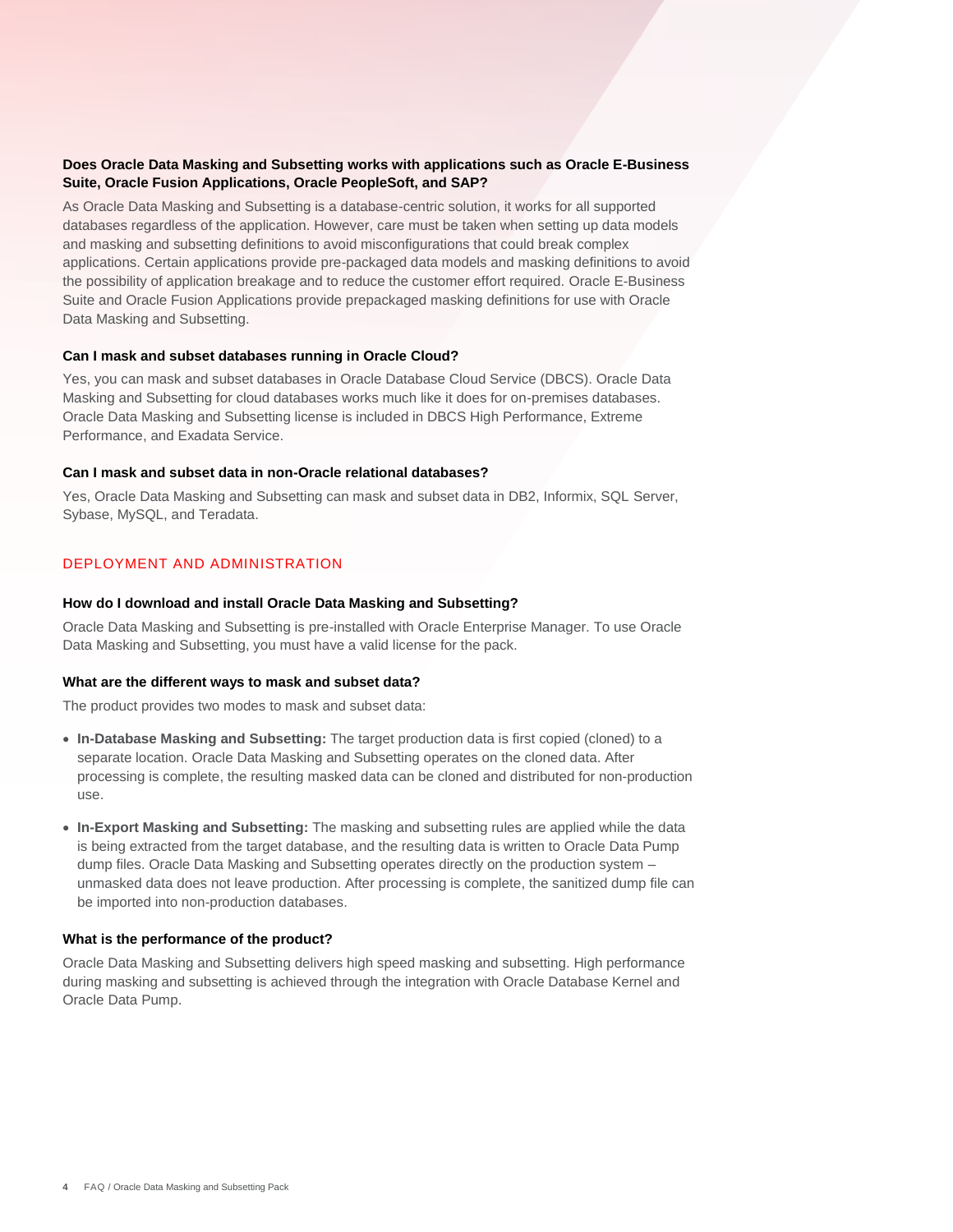# **Does Oracle Data Masking and Subsetting works with applications such as Oracle E-Business Suite, Oracle Fusion Applications, Oracle PeopleSoft, and SAP?**

 As Oracle Data Masking and Subsetting is a database-centric solution, it works for all supported and masking and subsetting definitions to avoid misconfigurations that could break complex applications. Certain applications provide pre-packaged data models and masking definitions to avoid databases regardless of the application. However, care must be taken when setting up data models the possibility of application breakage and to reduce the customer effort required. Oracle E-Business Suite and Oracle Fusion Applications provide prepackaged masking definitions for use with Oracle Data Masking and Subsetting.

# **Can I mask and subset databases running in Oracle Cloud?**

Yes, you can mask and subset databases in Oracle Database Cloud Service (DBCS). Oracle Data Masking and Subsetting for cloud databases works much like it does for on-premises databases. Oracle Data Masking and Subsetting license is included in DBCS High Performance, Extreme Performance, and Exadata Service.

# **Can I mask and subset data in non-Oracle relational databases?**

 Yes, Oracle Data Masking and Subsetting can mask and subset data in DB2, Informix, SQL Server, Sybase, MySQL, and Teradata.

# DEPLOYMENT AND ADMINISTRATION

# **How do I download and install Oracle Data Masking and Subsetting?**

Oracle Data Masking and Subsetting is pre-installed with Oracle Enterprise Manager. To use Oracle Data Masking and Subsetting, you must have a valid license for the pack.

# **What are the different ways to mask and subset data?**

The product provides two modes to mask and subset data:

- separate location. Oracle Data Masking and Subsetting operates on the cloned data. After processing is complete, the resulting masked data can be cloned and distributed for non-production **In-Database Masking and Subsetting:** The target production data is first copied (cloned) to a use.
- **In-Export Masking and Subsetting:** The masking and subsetting rules are applied while the data dump files. Oracle Data Masking and Subsetting operates directly on the production system – is being extracted from the target database, and the resulting data is written to Oracle Data Pump unmasked data does not leave production. After processing is complete, the sanitized dump file can be imported into non-production databases.

# **What is the performance of the product?**

 Oracle Data Masking and Subsetting delivers high speed masking and subsetting. High performance during masking and subsetting is achieved through the integration with Oracle Database Kernel and Oracle Data Pump.